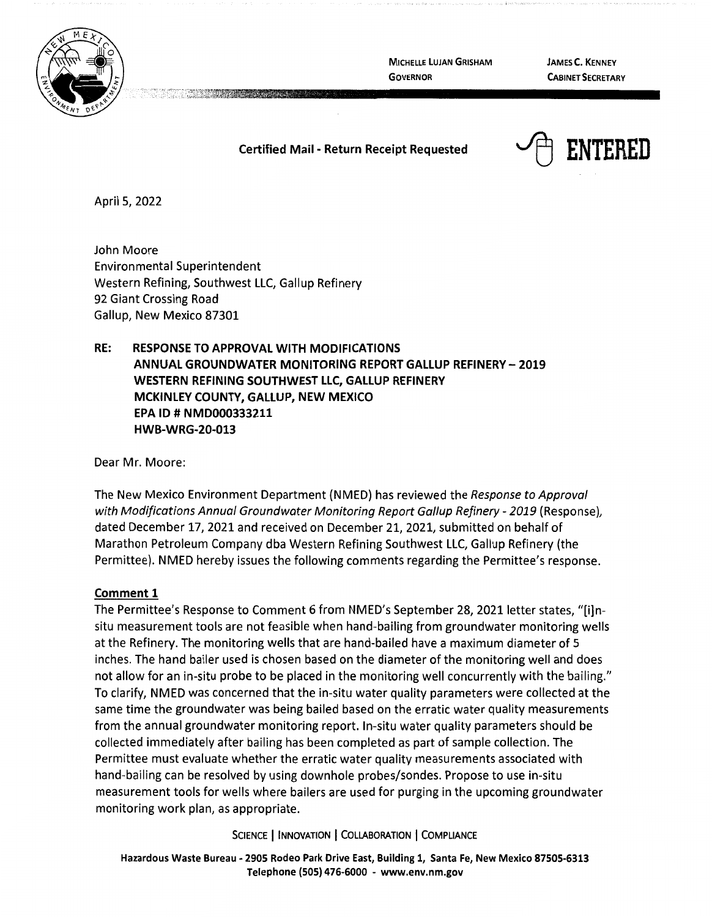

**MICHELLE LUJAN GRISHAM GOVERNOR** 

**JAMES C. KENNEY CABINET SECRETARY** 

## **Certified Mail - Return Receipt Requested**



April 5, 2022

John Moore Environmental Superintendent Western Refining, Southwest LLC, Gallup Refinery 92 Giant Crossing Road Gallup, New Mexico 87301

**RE: RESPONSE TO APPROVAL WITH MODIFICATIONS ANNUAL GROUNDWATER MONITORING REPORT GALLUP REFINERY** - **2019 WESTERN REFINING SOUTHWEST LLC, GALLUP REFINERY MCKINLEY COUNTY, GALLUP, NEW MEXICO EPA ID# NMD000333211 HWB-WRG-20-013** 

Dear Mr. Moore:

The New Mexico Environment Department (NMED) has reviewed the Response to Approval with Modifications Annual Groundwater Monitoring Report Gallup Refinery - 2019 (Response), dated December 17, 2021 and received on December 21, 2021, submitted on behalf of Marathon Petroleum Company dba Western Refining Southwest LLC, Gallup Refinery (the Permittee). NMED hereby issues the following comments regarding the Permittee's response.

## **Comment 1**

The Permittee's Response to Comment 6 from NMED's September 28, 2021 letter states, "[i]nsitu measurement tools are not feasible when hand-bailing from groundwater monitoring wells at the Refinery. The monitoring wells that are hand-bailed have a maximum diameter of 5 inches. The hand bailer used is chosen based on the diameter of the monitoring well and does not allow for an in-situ probe to be placed in the monitoring well concurrently with the bailing." To clarify, NMED was concerned that the in-situ water quality parameters were collected at the same time the groundwater was being bailed based on the erratic water quality measurements from the annual groundwater monitoring report. In-situ water quality parameters should be collected immediately after bailing has been completed as part of sample collection. The Permittee must evaluate whether the erratic water quality measurements associated with hand-bailing can be resolved by using downhole probes/sondes. Propose to use in-situ measurement tools for wells where bailers are used for purging in the upcoming groundwater monitoring work plan, as appropriate.

**SCIENCE** I **INNOVATION** I **COLLABORATION** I **COMPLIANCE** 

**Hazardous Waste Bureau** - **2905 Rodeo Park Drive East, Building 1, Santa Fe, New Mexico 87505-6313 Telephone (SOS) 476-6000** - **www.env.nm.gov**